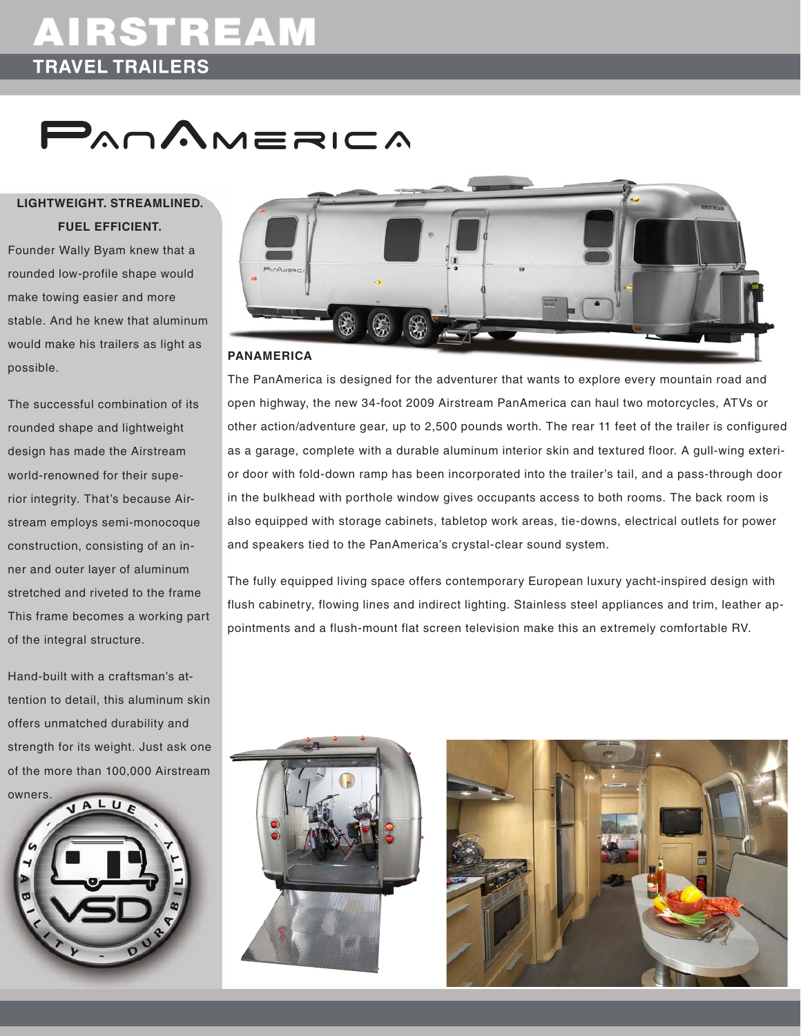## AIRSTREAM **TRAVEL TRAILERS**

# **PAOAMERICA**

### **lightweight. streamlined. fuel efficient.**

Founder Wally Byam knew that a rounded low-profile shape would make towing easier and more stable. And he knew that aluminum would make his trailers as light as possible.

The successful combination of its rounded shape and lightweight design has made the Airstream world-renowned for their superior integrity. That's because Airstream employs semi-monocoque construction, consisting of an inner and outer layer of aluminum stretched and riveted to the frame This frame becomes a working part of the integral structure.

Hand-built with a craftsman's attention to detail, this aluminum skin offers unmatched durability and strength for its weight. Just ask one of the more than 100,000 Airstream





#### **PANAMERICA**

The PanAmerica is designed for the adventurer that wants to explore every mountain road and open highway, the new 34-foot 2009 Airstream PanAmerica can haul two motorcycles, ATVs or other action/adventure gear, up to 2,500 pounds worth. The rear 11 feet of the trailer is configured as a garage, complete with a durable aluminum interior skin and textured floor. A gull-wing exterior door with fold-down ramp has been incorporated into the trailer's tail, and a pass-through door in the bulkhead with porthole window gives occupants access to both rooms. The back room is also equipped with storage cabinets, tabletop work areas, tie-downs, electrical outlets for power and speakers tied to the PanAmerica's crystal-clear sound system.

The fully equipped living space offers contemporary European luxury yacht-inspired design with flush cabinetry, flowing lines and indirect lighting. Stainless steel appliances and trim, leather appointments and a flush-mount flat screen television make this an extremely comfortable RV.